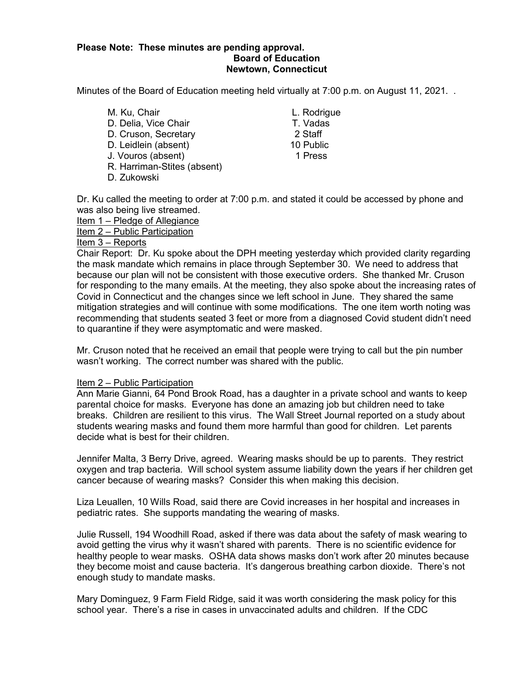### **Please Note: These minutes are pending approval. Board of Education Newtown, Connecticut**

Minutes of the Board of Education meeting held virtually at 7:00 p.m. on August 11, 2021. .

M. Ku, Chair **M. Ku, Chair** L. Rodrigue D. Delia, Vice Chair T. Vadas D. Cruson, Secretary 2 Staff D. Leidlein (absent) 10 Public J. Vouros (absent) 1 Press R. Harriman-Stites (absent) D. Zukowski

Dr. Ku called the meeting to order at 7:00 p.m. and stated it could be accessed by phone and was also being live streamed.

Item 1 – Pledge of Allegiance

Item 2 – Public Participation

### Item 3 – Reports

Chair Report: Dr. Ku spoke about the DPH meeting yesterday which provided clarity regarding the mask mandate which remains in place through September 30. We need to address that because our plan will not be consistent with those executive orders. She thanked Mr. Cruson for responding to the many emails. At the meeting, they also spoke about the increasing rates of Covid in Connecticut and the changes since we left school in June. They shared the same mitigation strategies and will continue with some modifications. The one item worth noting was recommending that students seated 3 feet or more from a diagnosed Covid student didn't need to quarantine if they were asymptomatic and were masked.

Mr. Cruson noted that he received an email that people were trying to call but the pin number wasn't working. The correct number was shared with the public.

### Item 2 – Public Participation

Ann Marie Gianni, 64 Pond Brook Road, has a daughter in a private school and wants to keep parental choice for masks. Everyone has done an amazing job but children need to take breaks. Children are resilient to this virus. The Wall Street Journal reported on a study about students wearing masks and found them more harmful than good for children. Let parents decide what is best for their children.

Jennifer Malta, 3 Berry Drive, agreed. Wearing masks should be up to parents. They restrict oxygen and trap bacteria. Will school system assume liability down the years if her children get cancer because of wearing masks? Consider this when making this decision.

Liza Leuallen, 10 Wills Road, said there are Covid increases in her hospital and increases in pediatric rates. She supports mandating the wearing of masks.

Julie Russell, 194 Woodhill Road, asked if there was data about the safety of mask wearing to avoid getting the virus why it wasn't shared with parents. There is no scientific evidence for healthy people to wear masks. OSHA data shows masks don't work after 20 minutes because they become moist and cause bacteria. It's dangerous breathing carbon dioxide. There's not enough study to mandate masks.

Mary Dominguez, 9 Farm Field Ridge, said it was worth considering the mask policy for this school year. There's a rise in cases in unvaccinated adults and children. If the CDC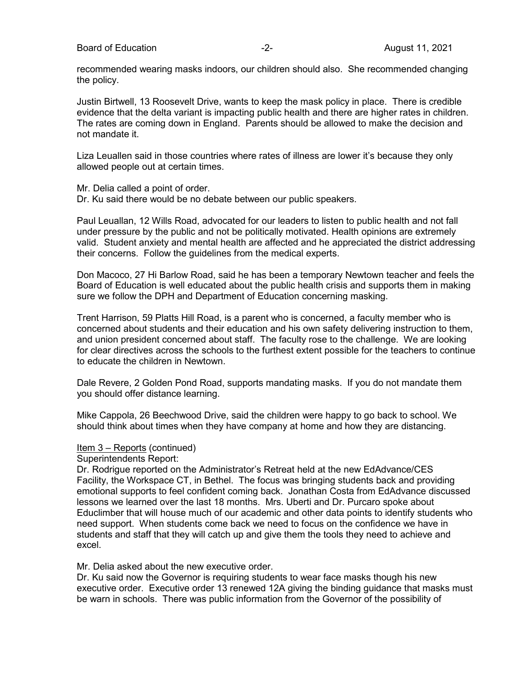Board of Education **-2-** August 11, 2021

recommended wearing masks indoors, our children should also. She recommended changing the policy.

Justin Birtwell, 13 Roosevelt Drive, wants to keep the mask policy in place. There is credible evidence that the delta variant is impacting public health and there are higher rates in children. The rates are coming down in England. Parents should be allowed to make the decision and not mandate it.

Liza Leuallen said in those countries where rates of illness are lower it's because they only allowed people out at certain times.

Mr. Delia called a point of order.

Dr. Ku said there would be no debate between our public speakers.

Paul Leuallan, 12 Wills Road, advocated for our leaders to listen to public health and not fall under pressure by the public and not be politically motivated. Health opinions are extremely valid. Student anxiety and mental health are affected and he appreciated the district addressing their concerns. Follow the guidelines from the medical experts.

Don Macoco, 27 Hi Barlow Road, said he has been a temporary Newtown teacher and feels the Board of Education is well educated about the public health crisis and supports them in making sure we follow the DPH and Department of Education concerning masking.

Trent Harrison, 59 Platts Hill Road, is a parent who is concerned, a faculty member who is concerned about students and their education and his own safety delivering instruction to them, and union president concerned about staff. The faculty rose to the challenge. We are looking for clear directives across the schools to the furthest extent possible for the teachers to continue to educate the children in Newtown.

Dale Revere, 2 Golden Pond Road, supports mandating masks. If you do not mandate them you should offer distance learning.

Mike Cappola, 26 Beechwood Drive, said the children were happy to go back to school. We should think about times when they have company at home and how they are distancing.

### Item 3 – Reports (continued)

Superintendents Report:

Dr. Rodrigue reported on the Administrator's Retreat held at the new EdAdvance/CES Facility, the Workspace CT, in Bethel. The focus was bringing students back and providing emotional supports to feel confident coming back. Jonathan Costa from EdAdvance discussed lessons we learned over the last 18 months. Mrs. Uberti and Dr. Purcaro spoke about Educlimber that will house much of our academic and other data points to identify students who need support. When students come back we need to focus on the confidence we have in students and staff that they will catch up and give them the tools they need to achieve and excel.

Mr. Delia asked about the new executive order.

Dr. Ku said now the Governor is requiring students to wear face masks though his new executive order. Executive order 13 renewed 12A giving the binding guidance that masks must be warn in schools. There was public information from the Governor of the possibility of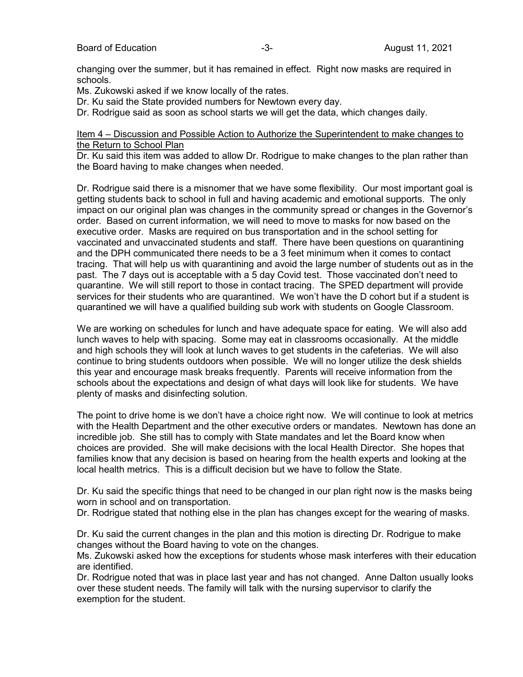changing over the summer, but it has remained in effect. Right now masks are required in schools.

Ms. Zukowski asked if we know locally of the rates.

Dr. Ku said the State provided numbers for Newtown every day.

Dr. Rodrigue said as soon as school starts we will get the data, which changes daily.

### Item 4 – Discussion and Possible Action to Authorize the Superintendent to make changes to the Return to School Plan

Dr. Ku said this item was added to allow Dr. Rodrigue to make changes to the plan rather than the Board having to make changes when needed.

Dr. Rodrigue said there is a misnomer that we have some flexibility. Our most important goal is getting students back to school in full and having academic and emotional supports. The only impact on our original plan was changes in the community spread or changes in the Governor's order. Based on current information, we will need to move to masks for now based on the executive order. Masks are required on bus transportation and in the school setting for vaccinated and unvaccinated students and staff. There have been questions on quarantining and the DPH communicated there needs to be a 3 feet minimum when it comes to contact tracing. That will help us with quarantining and avoid the large number of students out as in the past. The 7 days out is acceptable with a 5 day Covid test. Those vaccinated don't need to quarantine. We will still report to those in contact tracing. The SPED department will provide services for their students who are quarantined. We won't have the D cohort but if a student is quarantined we will have a qualified building sub work with students on Google Classroom.

We are working on schedules for lunch and have adequate space for eating. We will also add lunch waves to help with spacing. Some may eat in classrooms occasionally. At the middle and high schools they will look at lunch waves to get students in the cafeterias. We will also continue to bring students outdoors when possible. We will no longer utilize the desk shields this year and encourage mask breaks frequently. Parents will receive information from the schools about the expectations and design of what days will look like for students. We have plenty of masks and disinfecting solution.

The point to drive home is we don't have a choice right now. We will continue to look at metrics with the Health Department and the other executive orders or mandates. Newtown has done an incredible job. She still has to comply with State mandates and let the Board know when choices are provided. She will make decisions with the local Health Director. She hopes that families know that any decision is based on hearing from the health experts and looking at the local health metrics. This is a difficult decision but we have to follow the State.

Dr. Ku said the specific things that need to be changed in our plan right now is the masks being worn in school and on transportation.

Dr. Rodrigue stated that nothing else in the plan has changes except for the wearing of masks.

Dr. Ku said the current changes in the plan and this motion is directing Dr. Rodrigue to make changes without the Board having to vote on the changes.

Ms. Zukowski asked how the exceptions for students whose mask interferes with their education are identified.

Dr. Rodrigue noted that was in place last year and has not changed. Anne Dalton usually looks over these student needs. The family will talk with the nursing supervisor to clarify the exemption for the student.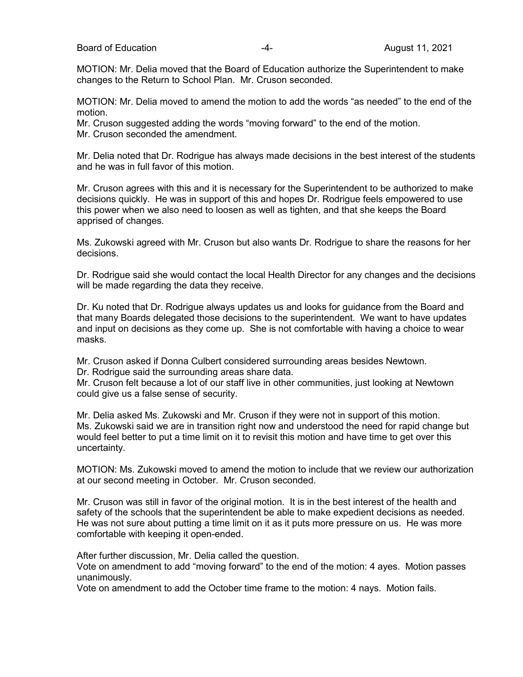MOTION: Mr. Delia moved that the Board of Education authorize the Superintendent to make changes to the Return to School Plan. Mr. Cruson seconded.

MOTION: Mr. Delia moved to amend the motion to add the words "as needed" to the end of the motion.

Mr. Cruson suggested adding the words "moving forward" to the end of the motion. Mr. Cruson seconded the amendment.

Mr. Delia noted that Dr. Rodrigue has always made decisions in the best interest of the students and he was in full favor of this motion.

Mr. Cruson agrees with this and it is necessary for the Superintendent to be authorized to make decisions quickly. He was in support of this and hopes Dr. Rodrigue feels empowered to use this power when we also need to loosen as well as tighten, and that she keeps the Board apprised of changes.

Ms. Zukowski agreed with Mr. Cruson but also wants Dr. Rodrigue to share the reasons for her decisions.

Dr. Rodrigue said she would contact the local Health Director for any changes and the decisions will be made regarding the data they receive.

Dr. Ku noted that Dr. Rodrigue always updates us and looks for guidance from the Board and that many Boards delegated those decisions to the superintendent. We want to have updates and input on decisions as they come up. She is not comfortable with having a choice to wear masks.

Mr. Cruson asked if Donna Culbert considered surrounding areas besides Newtown.

Dr. Rodrigue said the surrounding areas share data.

Mr. Cruson felt because a lot of our staff live in other communities, just looking at Newtown could give us a false sense of security.

Mr. Delia asked Ms. Zukowski and Mr. Cruson if they were not in support of this motion. Ms. Zukowski said we are in transition right now and understood the need for rapid change but would feel better to put a time limit on it to revisit this motion and have time to get over this uncertainty.

MOTION: Ms. Zukowski moved to amend the motion to include that we review our authorization at our second meeting in October. Mr. Cruson seconded.

Mr. Cruson was still in favor of the original motion. It is in the best interest of the health and safety of the schools that the superintendent be able to make expedient decisions as needed. He was not sure about putting a time limit on it as it puts more pressure on us. He was more comfortable with keeping it open-ended.

After further discussion, Mr. Delia called the question.

Vote on amendment to add "moving forward" to the end of the motion: 4 ayes. Motion passes unanimously.

Vote on amendment to add the October time frame to the motion: 4 nays. Motion fails.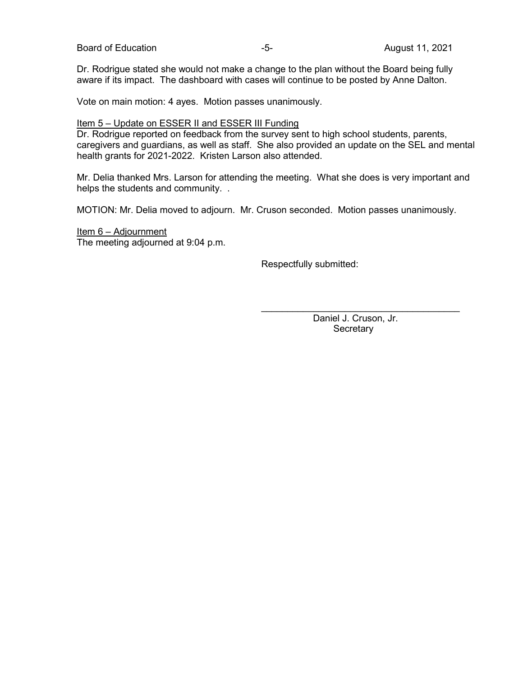Dr. Rodrigue stated she would not make a change to the plan without the Board being fully aware if its impact. The dashboard with cases will continue to be posted by Anne Dalton.

Vote on main motion: 4 ayes. Motion passes unanimously.

### Item 5 – Update on ESSER II and ESSER III Funding

Dr. Rodrigue reported on feedback from the survey sent to high school students, parents, caregivers and guardians, as well as staff. She also provided an update on the SEL and mental health grants for 2021-2022. Kristen Larson also attended.

Mr. Delia thanked Mrs. Larson for attending the meeting. What she does is very important and helps the students and community. .

MOTION: Mr. Delia moved to adjourn. Mr. Cruson seconded. Motion passes unanimously.

### Item 6 – Adjournment The meeting adjourned at 9:04 p.m.

Respectfully submitted:

 Daniel J. Cruson, Jr. **Secretary** 

 $\mathcal{L}_\text{max}$  and  $\mathcal{L}_\text{max}$  and  $\mathcal{L}_\text{max}$  and  $\mathcal{L}_\text{max}$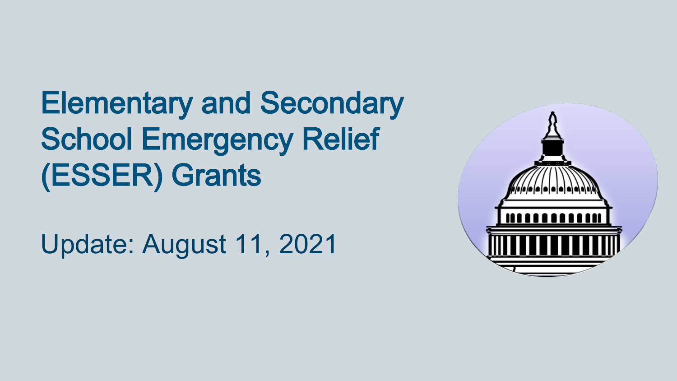# Elementary and Secondary School Emergency Relief (ESSER) Grants

Update: August 11, 2021

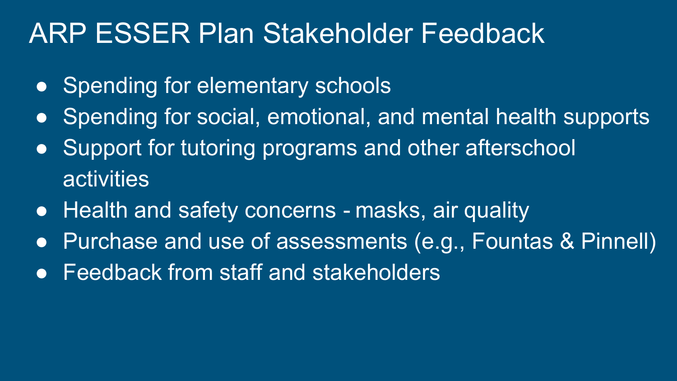## ARP ESSER Plan Stakeholder Feedback

- Spending for elementary schools
- Spending for social, emotional, and mental health supports
- Support for tutoring programs and other afterschool activities
- Health and safety concerns masks, air quality
- Purchase and use of assessments (e.g., Fountas & Pinnell)
- Feedback from staff and stakeholders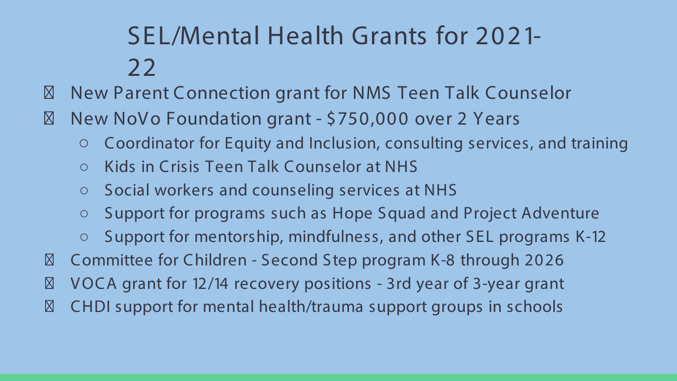## SEL/Mental Health Grants for 2021- 22

New Parent Connection grant for NMS Teen Talk Counselor New NoVo Foundation grant - \$750,000 over 2 Years

- Coordinator for Equity and Inclusion, consulting services, and training
- Kids in Crisis Teen Talk Counselor at NHS
- Social workers and counseling services at NHS
- Support for programs such as Hope Squad and Project Adventure

○ Support for mentorship, mindfulness, and other SEL programs K-12 Committee for Children - Second Step program K-8 through 2026 V OCA grant for 12/14 recovery positions - 3rd year of 3-year grant CHDI support for mental health/trauma support groups in schools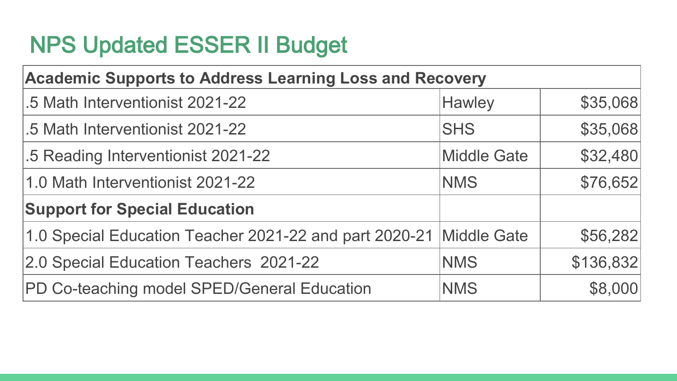### NPS Updated ESSER II Budget

| <b>Academic Supports to Address Learning Loss and Recovery</b>     |                    |           |  |
|--------------------------------------------------------------------|--------------------|-----------|--|
| .5 Math Interventionist 2021-22                                    | <b>Hawley</b>      | \$35,068  |  |
| .5 Math Interventionist 2021-22                                    | <b>SHS</b>         | \$35,068  |  |
| .5 Reading Interventionist 2021-22                                 | <b>Middle Gate</b> | \$32,480  |  |
| 1.0 Math Interventionist 2021-22                                   | <b>NMS</b>         | \$76,652  |  |
| <b>Support for Special Education</b>                               |                    |           |  |
| 1.0 Special Education Teacher 2021-22 and part 2020-21 Middle Gate |                    | \$56,282  |  |
| 2.0 Special Education Teachers 2021-22                             | <b>NMS</b>         | \$136,832 |  |
| <b>PD Co-teaching model SPED/General Education</b>                 | <b>NMS</b>         | \$8,000   |  |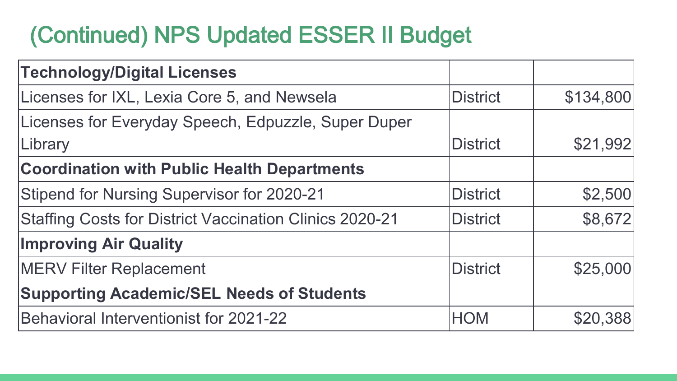## (Continued) NPS Updated ESSER II Budget

| <b>Technology/Digital Licenses</b>                             |                 |           |
|----------------------------------------------------------------|-----------------|-----------|
| Licenses for IXL, Lexia Core 5, and Newsela                    | <b>District</b> | \$134,800 |
| Licenses for Everyday Speech, Edpuzzle, Super Duper            |                 |           |
| Library                                                        | <b>District</b> | \$21,992  |
| <b>Coordination with Public Health Departments</b>             |                 |           |
| <b>Stipend for Nursing Supervisor for 2020-21</b>              | <b>District</b> | \$2,500   |
| <b>Staffing Costs for District Vaccination Clinics 2020-21</b> | <b>District</b> | \$8,672   |
| <b>Improving Air Quality</b>                                   |                 |           |
| <b>MERV Filter Replacement</b>                                 | <b>District</b> | \$25,000  |
| <b>Supporting Academic/SEL Needs of Students</b>               |                 |           |
| Behavioral Interventionist for 2021-22                         | <b>HOM</b>      | \$20,388  |